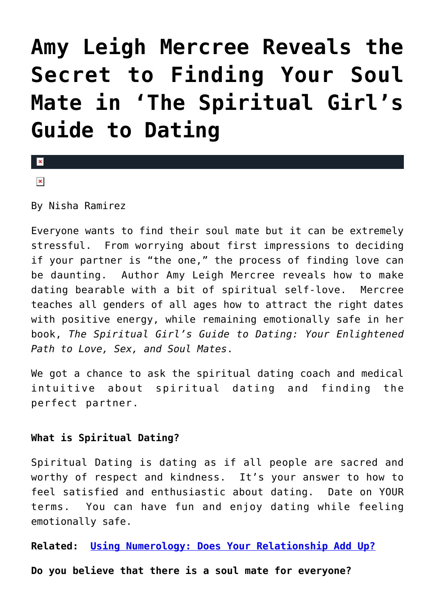# **[Amy Leigh Mercree Reveals the](https://cupidspulse.com/27031/author-interview-amy-leigh-mercree-spiritual-girls-guide-to-dating/) [Secret to Finding Your Soul](https://cupidspulse.com/27031/author-interview-amy-leigh-mercree-spiritual-girls-guide-to-dating/) [Mate in 'The Spiritual Girl's](https://cupidspulse.com/27031/author-interview-amy-leigh-mercree-spiritual-girls-guide-to-dating/) [Guide to Dating](https://cupidspulse.com/27031/author-interview-amy-leigh-mercree-spiritual-girls-guide-to-dating/)**

 $\vert \mathbf{x} \vert$  $\pmb{\times}$ 

By Nisha Ramirez

Everyone wants to find their soul mate but it can be extremely stressful. From worrying about first impressions to deciding if your partner is "the one," the process of finding love can be daunting. Author Amy Leigh Mercree reveals how to make dating bearable with a bit of spiritual self-love. Mercree teaches all genders of all ages how to attract the right dates with positive energy, while remaining emotionally safe in her book, *The Spiritual Girl's Guide to Dating: Your Enlightened Path to Love, Sex, and Soul Mates*.

We got a chance to ask the spiritual dating coach and medical intuitive about spiritual dating and finding the perfect partner.

### **What is Spiritual Dating?**

Spiritual Dating is dating as if all people are sacred and worthy of respect and kindness. It's your answer to how to feel satisfied and enthusiastic about dating. Date on YOUR terms. You can have fun and enjoy dating while feeling emotionally safe.

**Related: [Using Numerology: Does Your Relationship Add Up?](http://cupidspulse.com/valentines-day-love-advice-numerology-relationship-compatibilty-are-you-a-match/)**

**Do you believe that there is a soul mate for everyone?**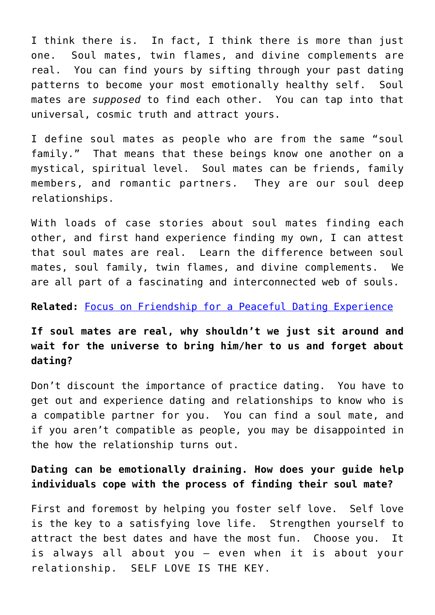I think there is. In fact, I think there is more than just one. Soul mates, twin flames, and divine complements are real. You can find yours by sifting through your past dating patterns to become your most emotionally healthy self. Soul mates are *supposed* to find each other. You can tap into that universal, cosmic truth and attract yours.

I define soul mates as people who are from the same "soul family." That means that these beings know one another on a mystical, spiritual level. Soul mates can be friends, family members, and romantic partners. They are our soul deep relationships.

With loads of case stories about soul mates finding each other, and first hand experience finding my own, I can attest that soul mates are real. Learn the difference between soul mates, soul family, twin flames, and divine complements. We are all part of a fascinating and interconnected web of souls.

#### **Related:** [Focus on Friendship for a Peaceful Dating Experience](http://cupidspulse.com/focus-on-friendship-for-a-peaceful-dating-experience/)

## **If soul mates are real, why shouldn't we just sit around and wait for the universe to bring him/her to us and forget about dating?**

Don't discount the importance of practice dating. You have to get out and experience dating and relationships to know who is a compatible partner for you. You can find a soul mate, and if you aren't compatible as people, you may be disappointed in the how the relationship turns out.

## **Dating can be emotionally draining. How does your guide help individuals cope with the process of finding their soul mate?**

First and foremost by helping you foster self love. Self love is the key to a satisfying love life. Strengthen yourself to attract the best dates and have the most fun. Choose you. It is always all about you – even when it is about your relationship. SELF LOVE IS THE KEY.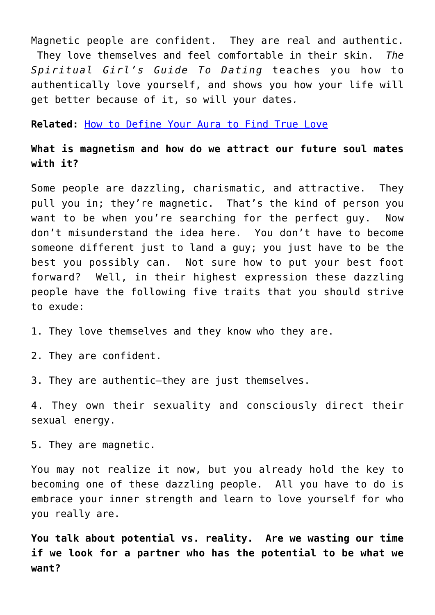Magnetic people are confident. They are real and authentic. They love themselves and feel comfortable in their skin. *The Spiritual Girl's Guide To Dating* teaches you how to authentically love yourself, and shows you how your life will get better because of it, so will your dates*.*

**Related:** [How to Define Your Aura to Find True Love](http://cupidspulse.com/how-to-define-aura-find-lasting-love-compatibility-quiz/)

**What is magnetism and how do we attract our future soul mates with it?**

Some people are dazzling, charismatic, and attractive. They pull you in; they're magnetic. That's the kind of person you want to be when you're searching for the perfect guy. Now don't misunderstand the idea here. You don't have to become someone different just to land a guy; you just have to be the best you possibly can. Not sure how to put your best foot forward? Well, in their highest expression these dazzling people have the following five traits that you should strive to exude:

1. They love themselves and they know who they are.

2. They are confident.

3. They are authentic–they are just themselves.

4. They own their sexuality and consciously direct their sexual energy.

5. They are magnetic.

You may not realize it now, but you already hold the key to becoming one of these dazzling people. All you have to do is embrace your inner strength and learn to love yourself for who you really are.

**You talk about potential vs. reality. Are we wasting our time if we look for a partner who has the potential to be what we want?**